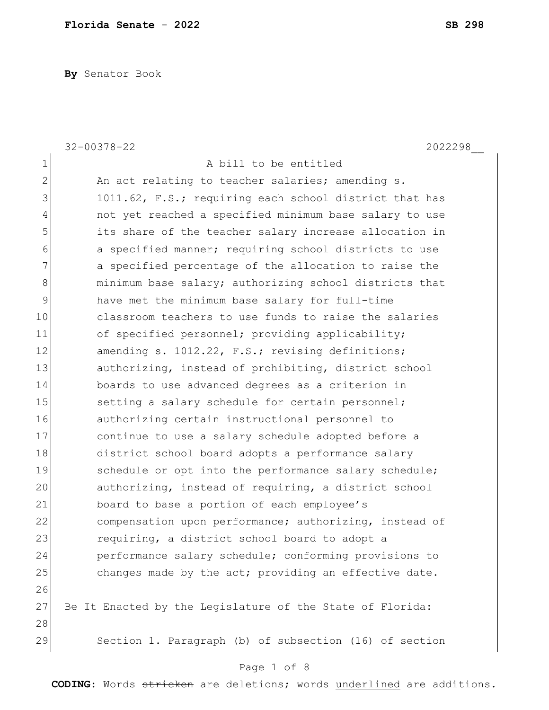**By** Senator Book

|                | $32 - 00378 - 22$<br>2022298                              |
|----------------|-----------------------------------------------------------|
| $\mathbf 1$    | A bill to be entitled                                     |
| $\overline{2}$ | An act relating to teacher salaries; amending s.          |
| 3              | 1011.62, F.S.; requiring each school district that has    |
| 4              | not yet reached a specified minimum base salary to use    |
| 5              | its share of the teacher salary increase allocation in    |
| 6              | a specified manner; requiring school districts to use     |
| 7              | a specified percentage of the allocation to raise the     |
| 8              | minimum base salary; authorizing school districts that    |
| 9              | have met the minimum base salary for full-time            |
| 10             | classroom teachers to use funds to raise the salaries     |
| 11             | of specified personnel; providing applicability;          |
| 12             | amending s. 1012.22, F.S.; revising definitions;          |
| 13             | authorizing, instead of prohibiting, district school      |
| 14             | boards to use advanced degrees as a criterion in          |
| 15             | setting a salary schedule for certain personnel;          |
| 16             | authorizing certain instructional personnel to            |
| 17             | continue to use a salary schedule adopted before a        |
| 18             | district school board adopts a performance salary         |
| 19             | schedule or opt into the performance salary schedule;     |
| 20             | authorizing, instead of requiring, a district school      |
| 21             | board to base a portion of each employee's                |
| 22             | compensation upon performance; authorizing, instead of    |
| 23             | requiring, a district school board to adopt a             |
| 24             | performance salary schedule; conforming provisions to     |
| 25             | changes made by the act; providing an effective date.     |
| 26             |                                                           |
| 27             | Be It Enacted by the Legislature of the State of Florida: |
| 28             |                                                           |
| 29             | Section 1. Paragraph (b) of subsection (16) of section    |

# Page 1 of 8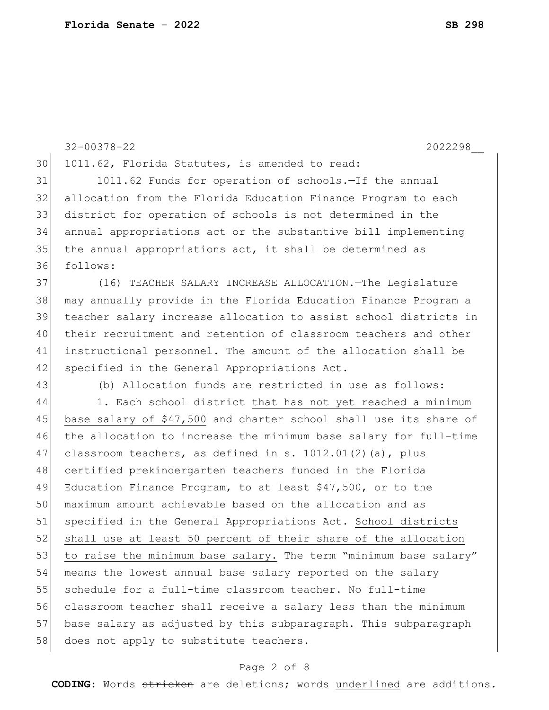32-00378-22 2022298\_\_ 30 1011.62, Florida Statutes, is amended to read: 31 1011.62 Funds for operation of schools.—If the annual 32 allocation from the Florida Education Finance Program to each 33 district for operation of schools is not determined in the 34 annual appropriations act or the substantive bill implementing 35 the annual appropriations act, it shall be determined as 36 follows: 37 (16) TEACHER SALARY INCREASE ALLOCATION.—The Legislature 38 may annually provide in the Florida Education Finance Program a 39 teacher salary increase allocation to assist school districts in 40 their recruitment and retention of classroom teachers and other 41 instructional personnel. The amount of the allocation shall be 42 specified in the General Appropriations Act. 43 (b) Allocation funds are restricted in use as follows: 44 1. Each school district that has not yet reached a minimum 45 base salary of \$47,500 and charter school shall use its share of 46 the allocation to increase the minimum base salary for full-time 47 classroom teachers, as defined in s.  $1012.01(2)$  (a), plus 48 certified prekindergarten teachers funded in the Florida 49 Education Finance Program, to at least \$47,500, or to the 50 maximum amount achievable based on the allocation and as 51 specified in the General Appropriations Act. School districts 52 shall use at least 50 percent of their share of the allocation 53 to raise the minimum base salary. The term "minimum base salary" 54 means the lowest annual base salary reported on the salary 55 schedule for a full-time classroom teacher. No full-time 56 classroom teacher shall receive a salary less than the minimum 57 base salary as adjusted by this subparagraph. This subparagraph 58 does not apply to substitute teachers.

### Page 2 of 8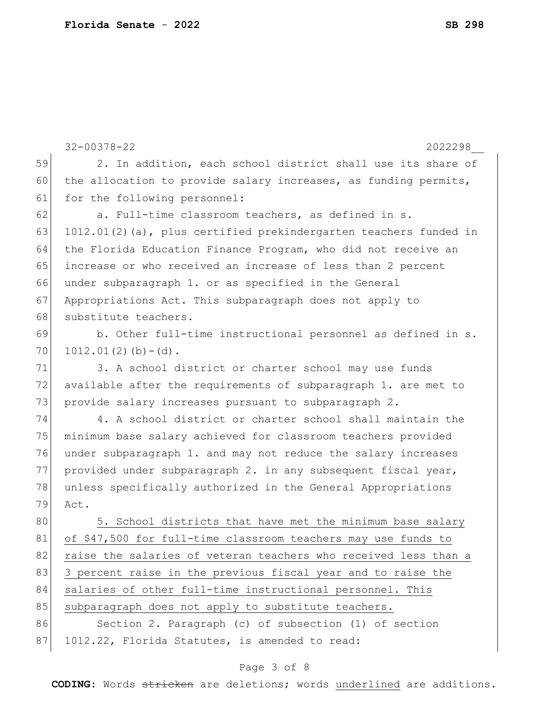32-00378-22 2022298\_\_ 59 2. In addition, each school district shall use its share of 60 the allocation to provide salary increases, as funding permits, 61 for the following personnel: 62 a. Full-time classroom teachers, as defined in s. 63 1012.01(2)(a), plus certified prekindergarten teachers funded in 64 the Florida Education Finance Program, who did not receive an 65 increase or who received an increase of less than 2 percent 66 under subparagraph 1. or as specified in the General 67 Appropriations Act. This subparagraph does not apply to 68 substitute teachers. 69 b. Other full-time instructional personnel as defined in s.  $70$  1012.01(2)(b)-(d). 71 3. A school district or charter school may use funds 72 available after the requirements of subparagraph 1. are met to 73 provide salary increases pursuant to subparagraph 2. 74 4. A school district or charter school shall maintain the 75 minimum base salary achieved for classroom teachers provided 76 under subparagraph 1. and may not reduce the salary increases 77 provided under subparagraph 2. in any subsequent fiscal year, 78 unless specifically authorized in the General Appropriations 79 Act. 80 5. School districts that have met the minimum base salary 81 of \$47,500 for full-time classroom teachers may use funds to 82 raise the salaries of veteran teachers who received less than a 83 3 percent raise in the previous fiscal year and to raise the 84 salaries of other full-time instructional personnel. This 85 subparagraph does not apply to substitute teachers. 86 Section 2. Paragraph (c) of subsection (1) of section 87 1012.22, Florida Statutes, is amended to read:

## Page 3 of 8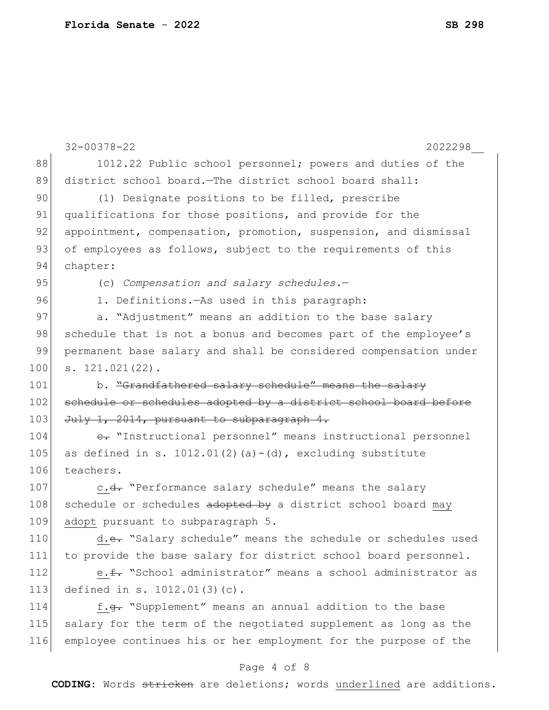|                                                                                  | $32 - 00378 - 22$<br>2022298                                       |
|----------------------------------------------------------------------------------|--------------------------------------------------------------------|
| 88                                                                               | 1012.22 Public school personnel; powers and duties of the          |
| 89                                                                               | district school board. The district school board shall:            |
| 90                                                                               | (1) Designate positions to be filled, prescribe                    |
| 91                                                                               | qualifications for those positions, and provide for the            |
| 92                                                                               | appointment, compensation, promotion, suspension, and dismissal    |
| 93                                                                               | of employees as follows, subject to the requirements of this       |
| 94                                                                               | chapter:                                                           |
| 95                                                                               | (c) Compensation and salary schedules.-                            |
| 96                                                                               | 1. Definitions. - As used in this paragraph:                       |
| 97                                                                               | a. "Adjustment" means an addition to the base salary               |
| 98                                                                               | schedule that is not a bonus and becomes part of the employee's    |
| 99                                                                               | permanent base salary and shall be considered compensation under   |
| 100                                                                              | $s. 121.021(22)$ .                                                 |
| 101                                                                              | b. "Grandfathered salary schedule" means the salary                |
| 102                                                                              | schedule or schedules adopted by a district school board before    |
| 103                                                                              | July 1, 2014, pursuant to subparagraph 4.                          |
|                                                                                  |                                                                    |
|                                                                                  | e. "Instructional personnel" means instructional personnel         |
|                                                                                  | as defined in s. $1012.01(2)$ (a) - (d), excluding substitute      |
|                                                                                  | teachers.                                                          |
|                                                                                  | c.d. "Performance salary schedule" means the salary                |
|                                                                                  | schedule or schedules adopted by a district school board may       |
|                                                                                  | adopt pursuant to subparagraph 5.                                  |
|                                                                                  | d.e. "Salary schedule" means the schedule or schedules used        |
|                                                                                  | to provide the base salary for district school board personnel.    |
|                                                                                  | e. f. "School administrator" means a school administrator as       |
|                                                                                  | defined in s. 1012.01(3)(c).                                       |
|                                                                                  | f. <del>q.</del> "Supplement" means an annual addition to the base |
| 104<br>105<br>106<br>107<br>108<br>109<br>110<br>111<br>112<br>113<br>114<br>115 | salary for the term of the negotiated supplement as long as the    |
| 116                                                                              | employee continues his or her employment for the purpose of the    |

## Page 4 of 8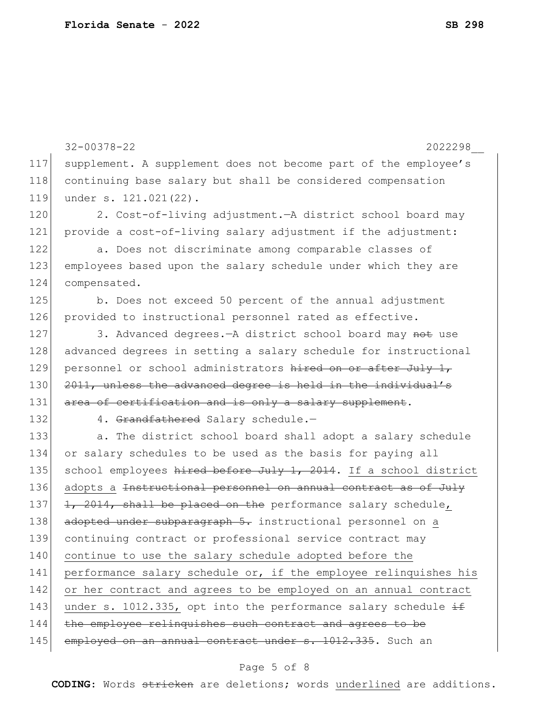32-00378-22 2022298\_\_ 117 supplement. A supplement does not become part of the employee's 118 continuing base salary but shall be considered compensation 119 under s. 121.021(22). 120 2. Cost-of-living adjustment.—A district school board may 121 provide a cost-of-living salary adjustment if the adjustment: 122 a. Does not discriminate among comparable classes of 123 employees based upon the salary schedule under which they are 124 compensated. 125 b. Does not exceed 50 percent of the annual adjustment 126 provided to instructional personnel rated as effective. 127 3. Advanced degrees.—A district school board may not use 128 advanced degrees in setting a salary schedule for instructional 129 personnel or school administrators hired on or after July 1, 130 2011, unless the advanced degree is held in the individual's 131 area of certification and is only a salary supplement. 132 4. Grandfathered Salary schedule.-133 a. The district school board shall adopt a salary schedule 134 or salary schedules to be used as the basis for paying all 135 school employees hired before July 1, 2014. If a school district 136 adopts a <del>Instructional personnel on annual contract as of July</del> 137  $\left| \frac{1}{2} \right|$ ,  $\left| \frac{2014}{2011} \right|$ , shall be placed on the performance salary schedule, 138 adopted under subparagraph 5. instructional personnel on a 139 continuing contract or professional service contract may 140 continue to use the salary schedule adopted before the 141 performance salary schedule or, if the employee relinquishes his 142 or her contract and agrees to be employed on an annual contract 143 under s. 1012.335, opt into the performance salary schedule  $\pm$ 144 the employee relinquishes such contract and agrees to be 145 employed on an annual contract under s. 1012.335. Such an

### Page 5 of 8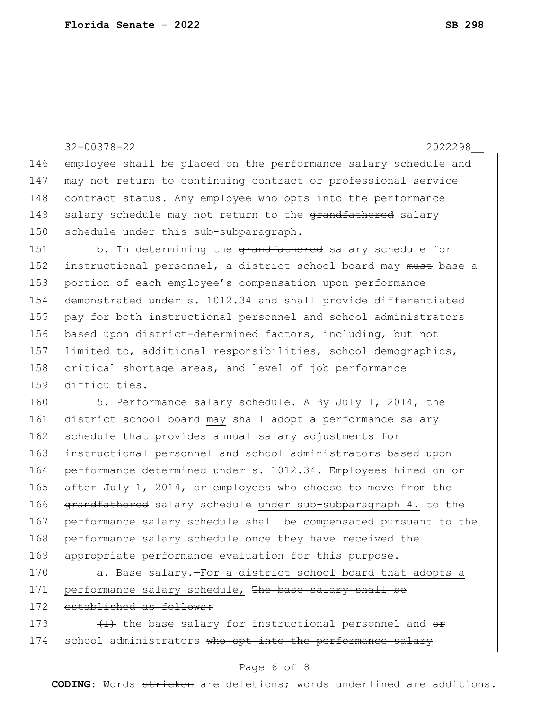|     | $32 - 00378 - 22$<br>2022298                                     |
|-----|------------------------------------------------------------------|
| 146 | employee shall be placed on the performance salary schedule and  |
| 147 | may not return to continuing contract or professional service    |
| 148 | contract status. Any employee who opts into the performance      |
| 149 | salary schedule may not return to the grandfathered salary       |
| 150 | schedule under this sub-subparagraph.                            |
| 151 | b. In determining the grandfathered salary schedule for          |
| 152 | instructional personnel, a district school board may must base a |
| 153 | portion of each employee's compensation upon performance         |
| 154 | demonstrated under s. 1012.34 and shall provide differentiated   |
| 155 | pay for both instructional personnel and school administrators   |
| 156 | based upon district-determined factors, including, but not       |
| 157 | limited to, additional responsibilities, school demographics,    |
| 158 | critical shortage areas, and level of job performance            |
| 159 | difficulties.                                                    |
| 160 | 5. Performance salary schedule. - A By July 1, 2014, the         |
| 161 | district school board may shall adopt a performance salary       |
| 162 | schedule that provides annual salary adjustments for             |
| 163 | instructional personnel and school administrators based upon     |
| 164 | performance determined under s. 1012.34. Employees hired on or   |
| 165 | after July 1, 2014, or employees who choose to move from the     |
| 166 | grandfathered salary schedule under sub-subparagraph 4. to the   |
| 167 | performance salary schedule shall be compensated pursuant to the |
| 168 | performance salary schedule once they have received the          |
| 169 | appropriate performance evaluation for this purpose.             |
| 170 | a. Base salary. - For a district school board that adopts a      |
| 171 | performance salary schedule, The base salary shall be            |

172 established as follows:

173  $(173)$   $(17)$  the base salary for instructional personnel and  $\theta$ 174 school administrators who opt into the performance salary

### Page 6 of 8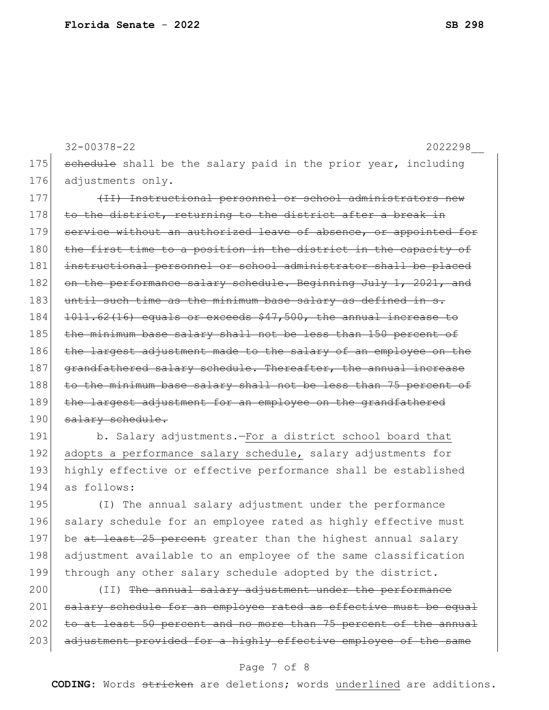32-00378-22 2022298\_\_ 175 schedule shall be the salary paid in the prior year, including 176 adjustments only. 177 (II) Instructional personnel or school administrators new 178 to the district, returning to the district after a break in 179 service without an authorized leave of absence, or appointed for 180 the first time to a position in the district in the capacity of 181 instructional personnel or school administrator shall be placed 182 on the performance salary schedule. Beginning July 1, 2021, and 183 until such time as the minimum base salary as defined in s. 184 <del>1011.62(16) equals or exceeds \$47,500, the annual increase to</del> 185 the minimum base salary shall not be less than 150 percent of 186 the largest adjustment made to the salary of an employee on the 187 grandfathered salary schedule. Thereafter, the annual increase 188 to the minimum base salary shall not be less than 75 percent of 189 the largest adjustment for an employee on the grandfathered 190 salary schedule.

191 b. Salary adjustments.—For a district school board that 192 adopts a performance salary schedule, salary adjustments for 193 highly effective or effective performance shall be established 194 as follows:

195 (I) The annual salary adjustment under the performance 196 salary schedule for an employee rated as highly effective must 197 be at least 25 percent greater than the highest annual salary 198 adjustment available to an employee of the same classification 199 through any other salary schedule adopted by the district.

200 (II) The annual salary adjustment under the performance 201 salary schedule for an employee rated as effective must be equal 202 to at least 50 percent and no more than 75 percent of the annual 203 adjustment provided for a highly effective employee of the same

#### Page 7 of 8